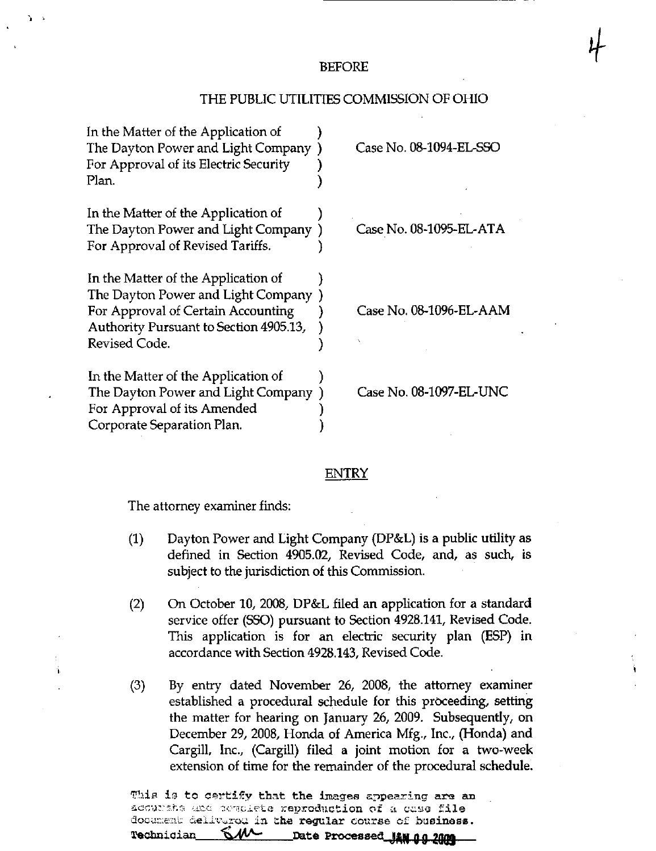## BEFORE

 $\overline{\phantom{a}}$ 

## THE PUBLIC UTILITIES COMMISSION OF OHIO

| In the Matter of the Application of<br>The Dayton Power and Light Company)<br>For Approval of its Electric Security<br>Plan.                                               | Case No. 08-1094-EL-SSC |
|----------------------------------------------------------------------------------------------------------------------------------------------------------------------------|-------------------------|
| In the Matter of the Application of<br>The Dayton Power and Light Company<br>For Approval of Revised Tariffs.                                                              | Case No. 08-1095-EL-ATA |
| In the Matter of the Application of<br>The Dayton Power and Light Company<br>For Approval of Certain Accounting<br>Authority Pursuant to Section 4905.13,<br>Revised Code. | Case No. 08-1096-EL-AAM |
| In the Matter of the Application of<br>The Dayton Power and Light Company<br>For Approval of its Amended<br>Corporate Separation Plan.                                     | Case No. 08-1097-EL-UNC |

## ENTRY

The attorney examiner finds:

- (1) Dayton Power and Light Company (DP&L) is a public utility as defined in Section 4905.02, Revised Code, and, as such, is subject to the jurisdiction of this Commission.
- (2) On October 10, 2008, DP&L filed an application for a standard service offer (SSO) pursuant to Section 4928.141, Revised Code. This application is for an electric security plan (ESP) in accordance with Section 4928.143, Revised Code.
- (3) By entry dated November 26, 2008, the attomey examiner established a procedural schedule for this proceeding, setting the matter for hearing on January 26, 2009. Subsequently, on December 29, 2008, Honda of America Mfg., Inc., (Honda) and Cargill, Inc., (Cargill) filed a joint motion for a two-week extension of time for the remainder of the procedural schedule.

This is to certify that the images appearing are an acoursha and commiete reproduction of a case file document deliverou in the regular course of business. Technician SMA Date Processed JAN 00 2009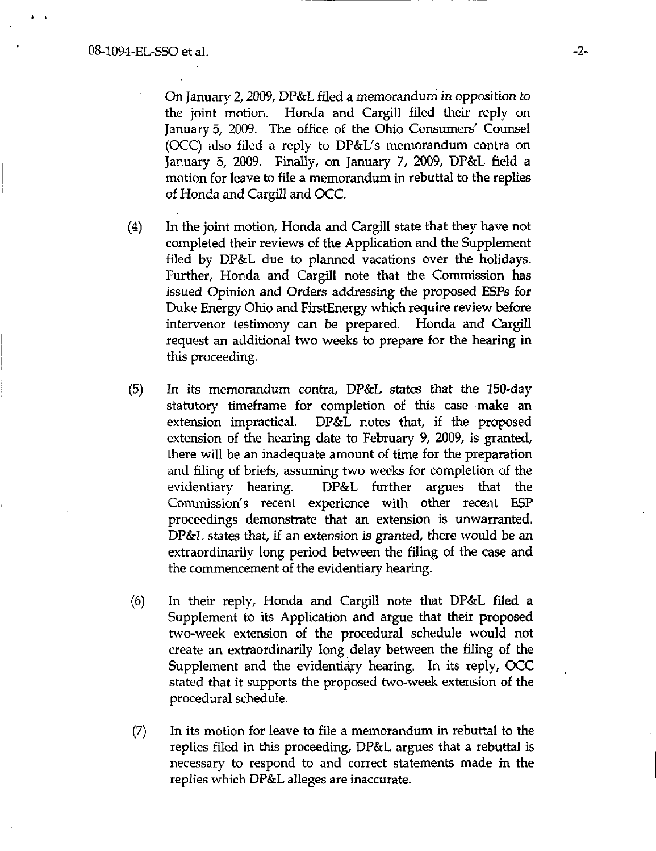On January 2,2009, DP&L filed a memorandum in opposition to the joint motion. Honda and Cargill filed their reply on January 5, 2009. The office of the Ohio Consumers' Counsel (OCC) also filed a reply to DP&L's memorandum contra on January 5, 2009. Finally, on January 7, 2009, DP&L field a motion for leave to file a memorandum in rebuttal to the replies of Honda and Cargill and OCC.

- (4) In the joint motion, Honda and Cargill state that they have not completed their reviews of the Application and the Supplement filed by DP&L due to planned vacations over the holidays. Further, Honda and Cargill note that the Commission has issued Opinion and Orders addressing the proposed ESPs for Duke Energy Ohio and FirstEnergy which require review before intervenor testimony can be prepared. Honda and Cargill request an additional two weeks to prepare for the hearing in this proceeding.
- (5) In its memorandum contra, DP&L states that the 150-day statutory timeframe for completion of this case make an extension impractical. DP&L notes that, if the proposed extension of the hearing date to February 9, 2009, is granted, there will be an inadequate amount of time for the preparation and filing of briefs, assuming two weeks for completion of the evidentiary hearing. DP&L further argues that the Commission's recent experience with other recent ESP proceedings demonstrate that an extension is unwarranted. DP&L states that, if an extension is granted, there would be an extraordinarily long period between the filing of the case and the commencement of the evidentiary hearing.
- (6) In their reply, Honda and Cargill note that DP&L filed a Supplement to its Application and argue that their proposed two-week extension of the procedural schedule would not create an extraordinarily long delay between the filing of the Supplement and the evidentiary hearing. In its reply, OCC stated that it supports the proposed two-week extension of the procedural schedule.
- $(7)$  In its motion for leave to file a memorandum in rebuttal to the replies filed in this proceeding, DP&L argues that a rebuttal is necessary to respond to and correct statements made in the replies which DP&L alleges are inaccurate.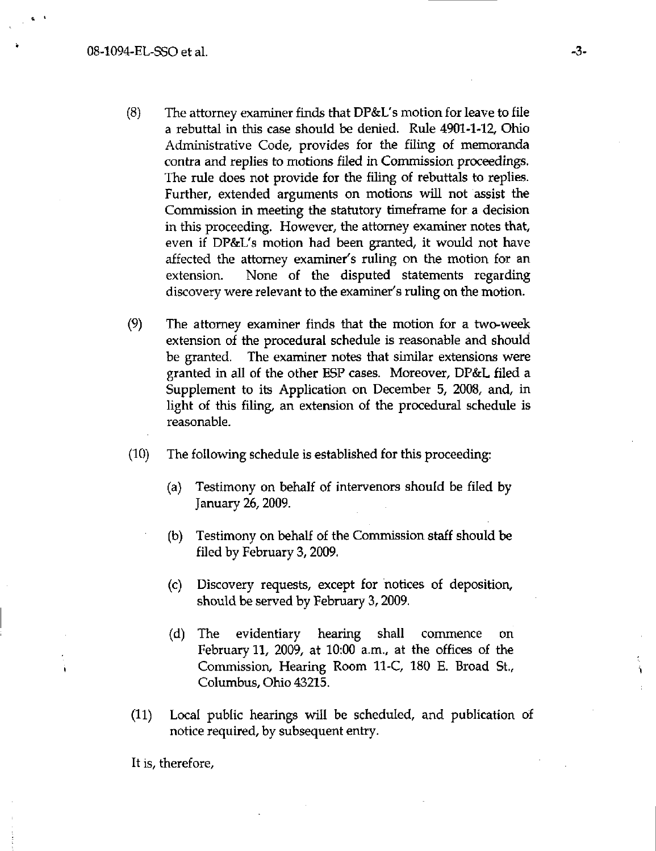- (8) The attorney examiner finds that DP&L's motion for leave to file a rebuttal in this case should be denied. Rule 4901-1-12, Ohio Administrative Code, provides for the filing of memoranda contra and replies to motions filed in Commission proceedings. The rule does not provide for the filing of rebuttals to replies. Further, extended arguments on motions will not assist the Commission in meeting the statutory timeframe for a decision in this proceeding. However, the attomey examiner notes that, even if DP&L's motion had been granted, it would not have affected the attorney examiner's ruling on the motion for an extension. None of the disputed statements regarding discovery were relevant to the examiner's ruling on the motion.
- (9) The attorney examiner finds that the motion for a two-week extension of the procedural schedule is reasonable and should be granted. The examiner notes that similar extensions were granted in all of the other ESP cases. Moreover, DP&L filed a Supplement to its Application on December 5, 2008, and, in light of this filing, an extension of the procedural schedule is reasonable.
- (10) The following schedule is established for this proceeding:
	- (a) Testimony on behalf of intervenors should be filed by January 26,2009.
	- (b) Testimony on behalf of the Commission staff should be filed by February 3,2009.
	- (c) Discovery requests, except for notices of deposition, should be served by February 3,2009,
	- (d) The evidentiary hearing shall commence on February 11, 2009, at 10:00 a.m., at the offices of the Commission, Hearing Room 11-C, 180 E. Broad St., Columbus, Ohio 43215.
- (11) Local public hearings will be scheduled, and publication of notice required, by subsequent entry.

It is, therefore.

Ŷ.